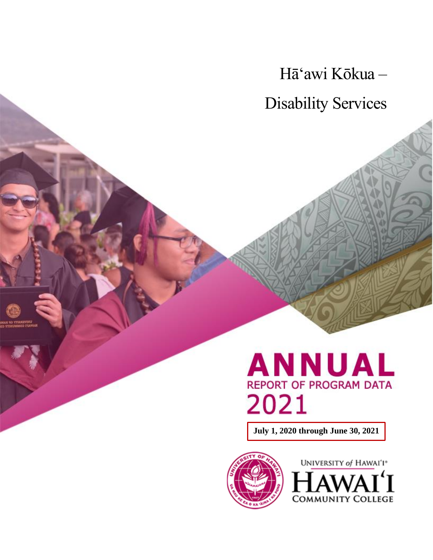Hā'awi Kōkua – Disability Services

# **ANNUAL REPORT OF PROGRAM DATA** 2021

**July 1, 2020 through June 30, 2021**



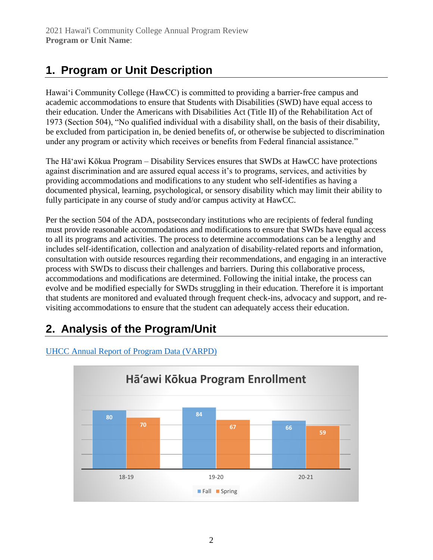# **1. Program or Unit Description**

Hawai'i Community College (HawCC) is committed to providing a barrier‑free campus and academic accommodations to ensure that Students with Disabilities (SWD) have equal access to their education. Under the Americans with Disabilities Act (Title II) of the Rehabilitation Act of 1973 (Section 504), "No qualified individual with a disability shall, on the basis of their disability, be excluded from participation in, be denied benefits of, or otherwise be subjected to discrimination under any program or activity which receives or benefits from Federal financial assistance."

The Hā'awi Kōkua Program – Disability Services ensures that SWDs at HawCC have protections against discrimination and are assured equal access it's to programs, services, and activities by providing accommodations and modifications to any student who self-identifies as having a documented physical, learning, psychological, or sensory disability which may limit their ability to fully participate in any course of study and/or campus activity at HawCC.

Per the section 504 of the ADA, postsecondary institutions who are recipients of federal funding must provide reasonable accommodations and modifications to ensure that SWDs have equal access to all its programs and activities. The process to determine accommodations can be a lengthy and includes self-identification, collection and analyzation of disability-related reports and information, consultation with outside resources regarding their recommendations, and engaging in an interactive process with SWDs to discuss their challenges and barriers. During this collaborative process, accommodations and modifications are determined. Following the initial intake, the process can evolve and be modified especially for SWDs struggling in their education. Therefore it is important that students are monitored and evaluated through frequent check-ins, advocacy and support, and revisiting accommodations to ensure that the student can adequately access their education.

# **2. Analysis of the Program/Unit**



#### UHCC [Annual Report of Program Data \(VARPD\)](https://uhcc.hawaii.edu/varpd/)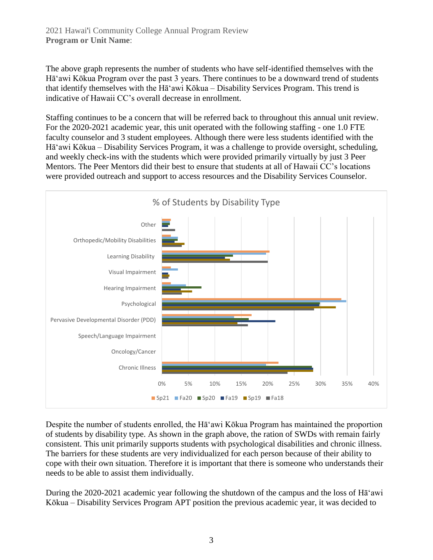The above graph represents the number of students who have self-identified themselves with the Hā'awi Kōkua Program over the past 3 years. There continues to be a downward trend of students that identify themselves with the Hā'awi Kōkua – Disability Services Program. This trend is indicative of Hawaii CC's overall decrease in enrollment.

Staffing continues to be a concern that will be referred back to throughout this annual unit review. For the 2020-2021 academic year, this unit operated with the following staffing - one 1.0 FTE faculty counselor and 3 student employees. Although there were less students identified with the Hā'awi Kōkua – Disability Services Program, it was a challenge to provide oversight, scheduling, and weekly check-ins with the students which were provided primarily virtually by just 3 Peer Mentors. The Peer Mentors did their best to ensure that students at all of Hawaii CC's locations were provided outreach and support to access resources and the Disability Services Counselor.



Despite the number of students enrolled, the Hā'awi Kōkua Program has maintained the proportion of students by disability type. As shown in the graph above, the ration of SWDs with remain fairly consistent. This unit primarily supports students with psychological disabilities and chronic illness. The barriers for these students are very individualized for each person because of their ability to cope with their own situation. Therefore it is important that there is someone who understands their needs to be able to assist them individually.

During the 2020-2021 academic year following the shutdown of the campus and the loss of Hā'awi Kōkua – Disability Services Program APT position the previous academic year, it was decided to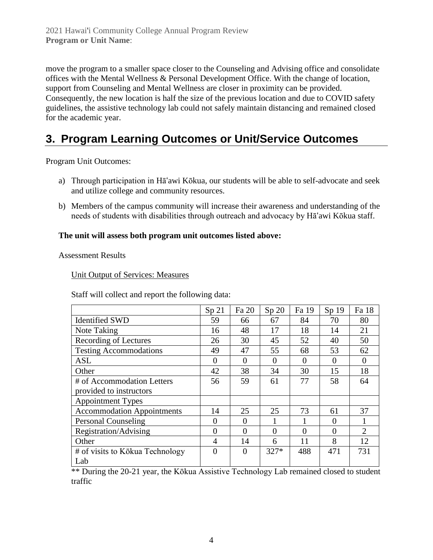move the program to a smaller space closer to the Counseling and Advising office and consolidate offices with the Mental Wellness & Personal Development Office. With the change of location, support from Counseling and Mental Wellness are closer in proximity can be provided. Consequently, the new location is half the size of the previous location and due to COVID safety guidelines, the assistive technology lab could not safely maintain distancing and remained closed for the academic year.

## **3. Program Learning Outcomes or Unit/Service Outcomes**

Program Unit Outcomes:

- a) Through participation in Hāʻawi Kōkua, our students will be able to self-advocate and seek and utilize college and community resources.
- b) Members of the campus community will increase their awareness and understanding of the needs of students with disabilities through outreach and advocacy by Hāʻawi Kōkua staff.

#### **The unit will assess both program unit outcomes listed above:**

Assessment Results

Unit Output of Services: Measures

Staff will collect and report the following data:

|                                   | Sp <sub>21</sub> | Fa 20          | Sp 20    | Fa 19    | Sp <sub>19</sub> | Fa 18          |
|-----------------------------------|------------------|----------------|----------|----------|------------------|----------------|
| <b>Identified SWD</b>             | 59               | 66             | 67       | 84       | 70               | 80             |
| Note Taking                       | 16               | 48             | 17       | 18       | 14               | 21             |
| <b>Recording of Lectures</b>      | 26               | 30             | 45       | 52       | 40               | 50             |
| <b>Testing Accommodations</b>     | 49               | 47             | 55       | 68       | 53               | 62             |
| <b>ASL</b>                        | $\theta$         | $\Omega$       | $\Omega$ | $\Omega$ | $\Omega$         | $\Omega$       |
| Other                             | 42               | 38             | 34       | 30       | 15               | 18             |
| # of Accommodation Letters        | 56               | 59             | 61       | 77       | 58               | 64             |
| provided to instructors           |                  |                |          |          |                  |                |
| <b>Appointment Types</b>          |                  |                |          |          |                  |                |
| <b>Accommodation Appointments</b> | 14               | 25             | 25       | 73       | 61               | 37             |
| <b>Personal Counseling</b>        | $\overline{0}$   | $\overline{0}$ |          | 1        | $\Omega$         |                |
| Registration/Advising             | $\theta$         | $\theta$       | 0        | $\theta$ | $\Omega$         | $\mathfrak{2}$ |
| Other                             | 4                | 14             | 6        | 11       | 8                | 12             |
| # of visits to Kōkua Technology   | $\theta$         | $\theta$       | $327*$   | 488      | 471              | 731            |
| Lab                               |                  |                |          |          |                  |                |

\*\* During the 20-21 year, the Kōkua Assistive Technology Lab remained closed to student traffic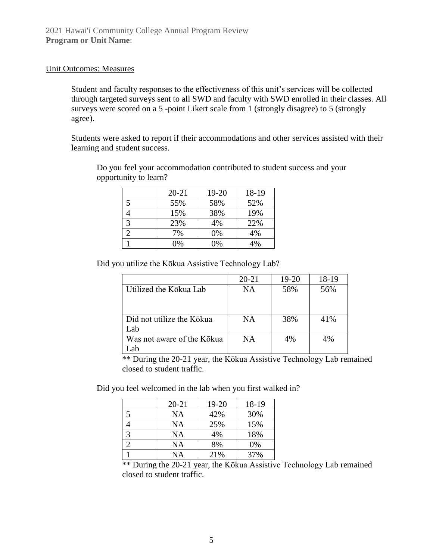#### Unit Outcomes: Measures

Student and faculty responses to the effectiveness of this unit's services will be collected through targeted surveys sent to all SWD and faculty with SWD enrolled in their classes. All surveys were scored on a 5 -point Likert scale from 1 (strongly disagree) to 5 (strongly agree).

Students were asked to report if their accommodations and other services assisted with their learning and student success.

|   | $20 - 21$ | $19 - 20$ | 18-19 |
|---|-----------|-----------|-------|
| 5 | 55%       | 58%       | 52%   |
|   | 15%       | 38%       | 19%   |
| っ | 23%       | 4%        | 22%   |
|   | 7%        | 0%        | 4%    |
|   | 0%        | 0%        | 4%    |

Do you feel your accommodation contributed to student success and your opportunity to learn?

Did you utilize the Kōkua Assistive Technology Lab?

|                            | $20 - 21$ | 19-20 | 18-19 |
|----------------------------|-----------|-------|-------|
| Utilized the Kōkua Lab     | <b>NA</b> | 58%   | 56%   |
|                            |           |       |       |
|                            |           |       |       |
| Did not utilize the Kōkua  | <b>NA</b> | 38%   | 41%   |
| Lab                        |           |       |       |
| Was not aware of the Kōkua | <b>NA</b> | 4%    | 4%    |
|                            |           |       |       |

\*\* During the 20-21 year, the Kōkua Assistive Technology Lab remained closed to student traffic.

Did you feel welcomed in the lab when you first walked in?

|   | $20 - 21$ | 19-20 | 18-19 |
|---|-----------|-------|-------|
| 5 | NA        | 42%   | 30%   |
|   | ΝA        | 25%   | 15%   |
|   | ΝA        | 4%    | 18%   |
|   | NA        | 8%    | 0%    |
|   | NA        | 21%   | 37%   |

\*\* During the 20-21 year, the Kōkua Assistive Technology Lab remained closed to student traffic.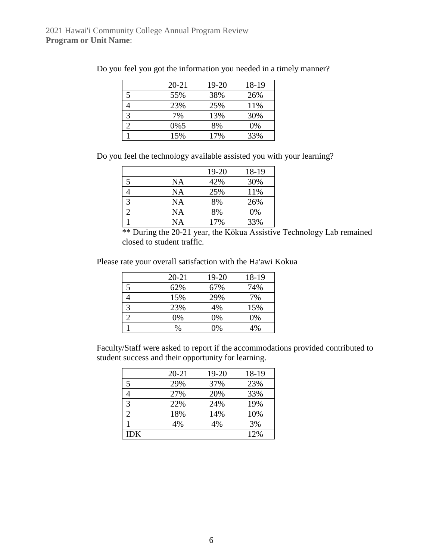|               | $20 - 21$ | 19-20 | 18-19 |
|---------------|-----------|-------|-------|
|               | 55%       | 38%   | 26%   |
|               | 23%       | 25%   | 11%   |
| $\mathcal{R}$ | 7%        | 13%   | 30%   |
|               | 0%5       | 8%    | 0%    |
|               | 15%       | 17%   | 33%   |

Do you feel you got the information you needed in a timely manner?

Do you feel the technology available assisted you with your learning?

|           | 19-20 | 18-19 |
|-----------|-------|-------|
| <b>NA</b> | 42%   | 30%   |
| NA        | 25%   | 11%   |
| NA        | 8%    | 26%   |
| NA        | 8%    | 0%    |
| NA        | 17%   | 33%   |

\*\* During the 20-21 year, the Kōkua Assistive Technology Lab remained closed to student traffic.

Please rate your overall satisfaction with the Ha'awi Kokua

| $20 - 21$ | 19-20 | 18-19 |
|-----------|-------|-------|
| 62%       | 67%   | 74%   |
| 15%       | 29%   | 7%    |
| 23%       | 4%    | 15%   |
| 0%        | 0%    | 0%    |
| $\%$      | 0%    | 4%    |

Faculty/Staff were asked to report if the accommodations provided contributed to student success and their opportunity for learning.

|            | $20 - 21$ | 19-20 | 18-19 |
|------------|-----------|-------|-------|
|            | 29%       | 37%   | 23%   |
|            | 27%       | 20%   | 33%   |
|            | 22%       | 24%   | 19%   |
|            | 18%       | 14%   | 10%   |
|            | 4%        | 4%    | 3%    |
| <b>IDK</b> |           |       | 12%   |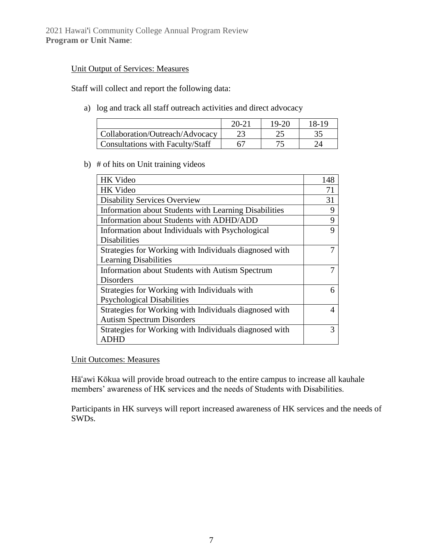2021 Hawai'i Community College Annual Program Review **Program or Unit Name**:

#### Unit Output of Services: Measures

Staff will collect and report the following data:

a) log and track all staff outreach activities and direct advocacy

|                                         | 20-21 | $19-20$ | 18-19 |
|-----------------------------------------|-------|---------|-------|
| Collaboration/Outreach/Advocacy         |       |         |       |
| <b>Consultations with Faculty/Staff</b> |       |         |       |

b) # of hits on Unit training videos

| <b>HK</b> Video                                        | 148 |
|--------------------------------------------------------|-----|
| <b>HK</b> Video                                        | 71  |
| <b>Disability Services Overview</b>                    | 31  |
| Information about Students with Learning Disabilities  | 9   |
| Information about Students with ADHD/ADD               | 9   |
| Information about Individuals with Psychological       | 9   |
| <b>Disabilities</b>                                    |     |
| Strategies for Working with Individuals diagnosed with |     |
| <b>Learning Disabilities</b>                           |     |
| Information about Students with Autism Spectrum        | 7   |
| <b>Disorders</b>                                       |     |
| Strategies for Working with Individuals with           | 6   |
| <b>Psychological Disabilities</b>                      |     |
| Strategies for Working with Individuals diagnosed with | 4   |
| <b>Autism Spectrum Disorders</b>                       |     |
| Strategies for Working with Individuals diagnosed with | 3   |
| ADHD                                                   |     |

Unit Outcomes: Measures

Hāʻawi Kōkua will provide broad outreach to the entire campus to increase all kauhale members' awareness of HK services and the needs of Students with Disabilities.

Participants in HK surveys will report increased awareness of HK services and the needs of SWDs.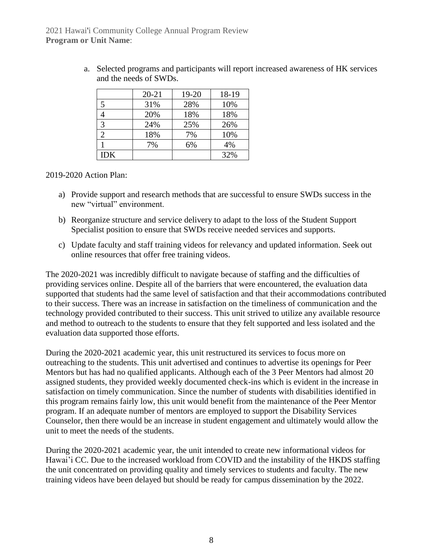|            | $20 - 21$ | $19 - 20$ | 18-19 |
|------------|-----------|-----------|-------|
|            |           |           |       |
| 5          | 31%       | 28%       | 10%   |
|            | 20%       | 18%       | 18%   |
| 3          | 24%       | 25%       | 26%   |
| 2          | 18%       | 7%        | 10%   |
|            | 7%        | 6%        | 4%    |
| <b>IDK</b> |           |           | 32%   |

a. Selected programs and participants will report increased awareness of HK services and the needs of SWDs.

#### 2019-2020 Action Plan:

- a) Provide support and research methods that are successful to ensure SWDs success in the new "virtual" environment.
- b) Reorganize structure and service delivery to adapt to the loss of the Student Support Specialist position to ensure that SWDs receive needed services and supports.
- c) Update faculty and staff training videos for relevancy and updated information. Seek out online resources that offer free training videos.

The 2020-2021 was incredibly difficult to navigate because of staffing and the difficulties of providing services online. Despite all of the barriers that were encountered, the evaluation data supported that students had the same level of satisfaction and that their accommodations contributed to their success. There was an increase in satisfaction on the timeliness of communication and the technology provided contributed to their success. This unit strived to utilize any available resource and method to outreach to the students to ensure that they felt supported and less isolated and the evaluation data supported those efforts.

During the 2020-2021 academic year, this unit restructured its services to focus more on outreaching to the students. This unit advertised and continues to advertise its openings for Peer Mentors but has had no qualified applicants. Although each of the 3 Peer Mentors had almost 20 assigned students, they provided weekly documented check-ins which is evident in the increase in satisfaction on timely communication. Since the number of students with disabilities identified in this program remains fairly low, this unit would benefit from the maintenance of the Peer Mentor program. If an adequate number of mentors are employed to support the Disability Services Counselor, then there would be an increase in student engagement and ultimately would allow the unit to meet the needs of the students.

During the 2020-2021 academic year, the unit intended to create new informational videos for Hawai'i CC. Due to the increased workload from COVID and the instability of the HKDS staffing the unit concentrated on providing quality and timely services to students and faculty. The new training videos have been delayed but should be ready for campus dissemination by the 2022.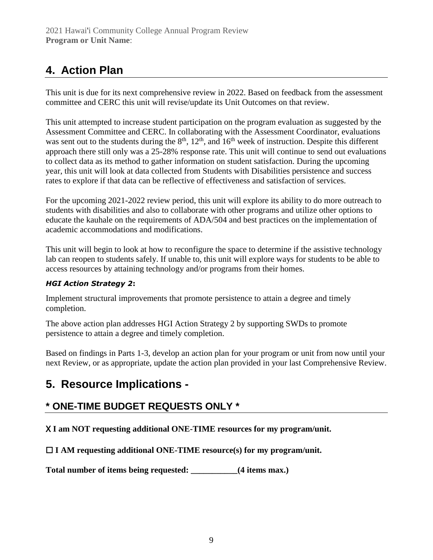# **4. Action Plan**

This unit is due for its next comprehensive review in 2022. Based on feedback from the assessment committee and CERC this unit will revise/update its Unit Outcomes on that review.

This unit attempted to increase student participation on the program evaluation as suggested by the Assessment Committee and CERC. In collaborating with the Assessment Coordinator, evaluations was sent out to the students during the  $8<sup>th</sup>$ ,  $12<sup>th</sup>$ , and  $16<sup>th</sup>$  week of instruction. Despite this different approach there still only was a 25-28% response rate. This unit will continue to send out evaluations to collect data as its method to gather information on student satisfaction. During the upcoming year, this unit will look at data collected from Students with Disabilities persistence and success rates to explore if that data can be reflective of effectiveness and satisfaction of services.

For the upcoming 2021-2022 review period, this unit will explore its ability to do more outreach to students with disabilities and also to collaborate with other programs and utilize other options to educate the kauhale on the requirements of ADA/504 and best practices on the implementation of academic accommodations and modifications.

This unit will begin to look at how to reconfigure the space to determine if the assistive technology lab can reopen to students safely. If unable to, this unit will explore ways for students to be able to access resources by attaining technology and/or programs from their homes.

#### *HGI Action Strategy 2***:**

Implement structural improvements that promote persistence to attain a degree and timely completion.

The above action plan addresses HGI Action Strategy 2 by supporting SWDs to promote persistence to attain a degree and timely completion.

Based on findings in Parts 1-3, develop an action plan for your program or unit from now until your next Review, or as appropriate, update the action plan provided in your last Comprehensive Review.

### **5. Resource Implications -**

### **\* ONE-TIME BUDGET REQUESTS ONLY \***

X **I am NOT requesting additional ONE-TIME resources for my program/unit.**

☐ **I AM requesting additional ONE-TIME resource(s) for my program/unit.**

**Total number of items being requested: \_\_\_\_\_\_\_\_\_\_\_(4 items max.)**